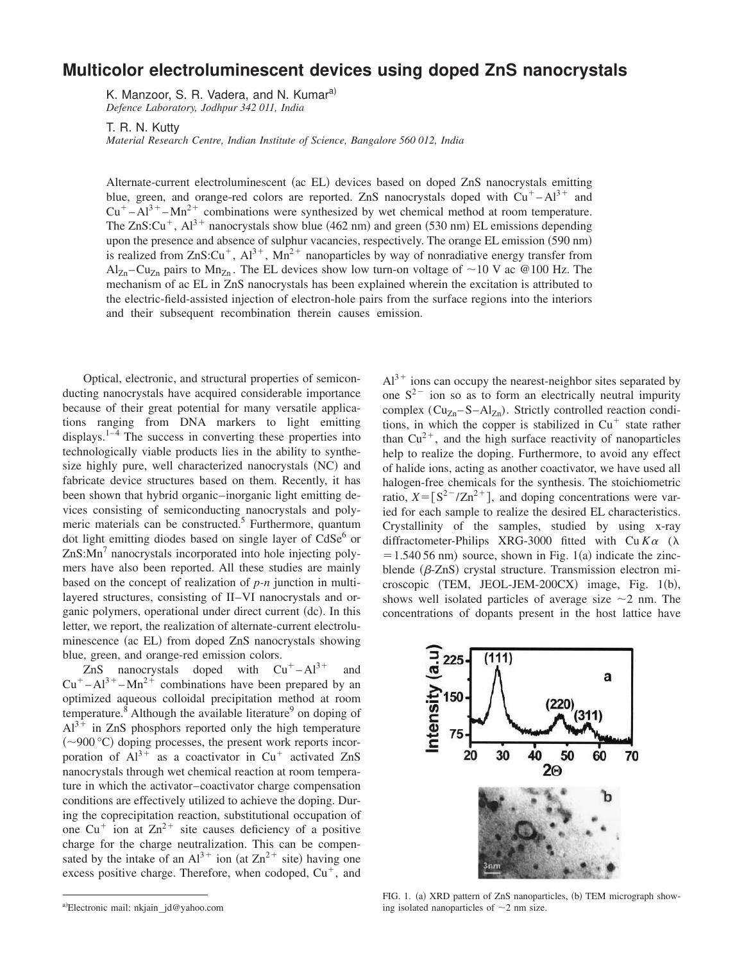## **Multicolor electroluminescent devices using doped ZnS nanocrystals**

K. Manzoor, S. R. Vadera, and N. Kumar<sup>a)</sup> *Defence Laboratory, Jodhpur 342 011, India*

T. R. N. Kutty

*Material Research Centre, Indian Institute of Science, Bangalore 560 012, India*

Alternate-current electroluminescent (ac EL) devices based on doped ZnS nanocrystals emitting blue, green, and orange-red colors are reported. ZnS nanocrystals doped with  $Cu<sup>+</sup>-Al<sup>3+</sup>$  and  $Cu<sup>+</sup> – Al<sup>3+</sup> – Mn<sup>2+</sup>$  combinations were synthesized by wet chemical method at room temperature. The ZnS:Cu<sup>+</sup>, Al<sup>3+</sup> nanocrystals show blue (462 nm) and green (530 nm) EL emissions depending upon the presence and absence of sulphur vacancies, respectively. The orange EL emission (590 nm) is realized from ZnS:Cu<sup>+</sup>, Al<sup>3+</sup>, Mn<sup>2+</sup> nanoparticles by way of nonradiative energy transfer from  $\text{Al}_{\text{Zn}}-\text{Cu}_{\text{Zn}}$  pairs to  $\text{Mn}_{\text{Zn}}$ . The EL devices show low turn-on voltage of ~10 V ac @100 Hz. The mechanism of ac EL in ZnS nanocrystals has been explained wherein the excitation is attributed to the electric-field-assisted injection of electron-hole pairs from the surface regions into the interiors and their subsequent recombination therein causes emission.

Optical, electronic, and structural properties of semiconducting nanocrystals have acquired considerable importance because of their great potential for many versatile applications ranging from DNA markers to light emitting displays. $1-4$  The success in converting these properties into technologically viable products lies in the ability to synthesize highly pure, well characterized nanocrystals (NC) and fabricate device structures based on them. Recently, it has been shown that hybrid organic–inorganic light emitting devices consisting of semiconducting nanocrystals and polymeric materials can be constructed.<sup>5</sup> Furthermore, quantum dot light emitting diodes based on single layer of CdSe<sup>6</sup> or  $ZnS: Mn<sup>7</sup>$  nanocrystals incorporated into hole injecting polymers have also been reported. All these studies are mainly based on the concept of realization of *p-n* junction in multilayered structures, consisting of II–VI nanocrystals and organic polymers, operational under direct current (dc). In this letter, we report, the realization of alternate-current electroluminescence (ac EL) from doped ZnS nanocrystals showing blue, green, and orange-red emission colors.

ZnS nanocrystals doped with  $Cu<sup>+</sup>-Al<sup>3+</sup>$  and  $Cu<sup>+</sup>-Al<sup>3+</sup>-Mn<sup>2+</sup>$  combinations have been prepared by an optimized aqueous colloidal precipitation method at room temperature.<sup>8</sup> Although the available literature<sup>9</sup> on doping of  $Al^{3+}$  in ZnS phosphors reported only the high temperature  $(-900 \degree C)$  doping processes, the present work reports incorporation of  $Al^{3+}$  as a coactivator in Cu<sup>+</sup> activated ZnS nanocrystals through wet chemical reaction at room temperature in which the activator–coactivator charge compensation conditions are effectively utilized to achieve the doping. During the coprecipitation reaction, substitutional occupation of one  $Cu<sup>+</sup>$  ion at  $Zn<sup>2+</sup>$  site causes deficiency of a positive charge for the charge neutralization. This can be compensated by the intake of an  $Al^{3+}$  ion (at  $Zn^{2+}$  site) having one excess positive charge. Therefore, when codoped,  $Cu<sup>+</sup>$ , and

 $Al^{3+}$  ions can occupy the nearest-neighbor sites separated by one  $S^{2-}$  ion so as to form an electrically neutral impurity complex  $(Cu_{Zn} - S - Al_{Zn})$ . Strictly controlled reaction conditions, in which the copper is stabilized in  $Cu<sup>+</sup>$  state rather than  $Cu^{2+}$ , and the high surface reactivity of nanoparticles help to realize the doping. Furthermore, to avoid any effect of halide ions, acting as another coactivator, we have used all halogen-free chemicals for the synthesis. The stoichiometric ratio,  $X = [S^2^{-1}Zn^2 +]$ , and doping concentrations were varied for each sample to realize the desired EL characteristics. Crystallinity of the samples, studied by using x-ray diffractometer-Philips XRG-3000 fitted with  $Cu K\alpha$  ( $\lambda$  $= 1.540 56$  nm) source, shown in Fig. 1(a) indicate the zincblende  $(\beta$ -ZnS) crystal structure. Transmission electron microscopic  $(TEM, JEOL-JEM-200CX)$  image, Fig. 1(b), shows well isolated particles of average size  $\sim$ 2 nm. The concentrations of dopants present in the host lattice have



FIG. 1. (a) XRD pattern of ZnS nanoparticles, (b) TEM micrograph showing isolated nanoparticles of  $\sim$ 2 nm size.

a)Electronic mail: nkjain\_jd@yahoo.com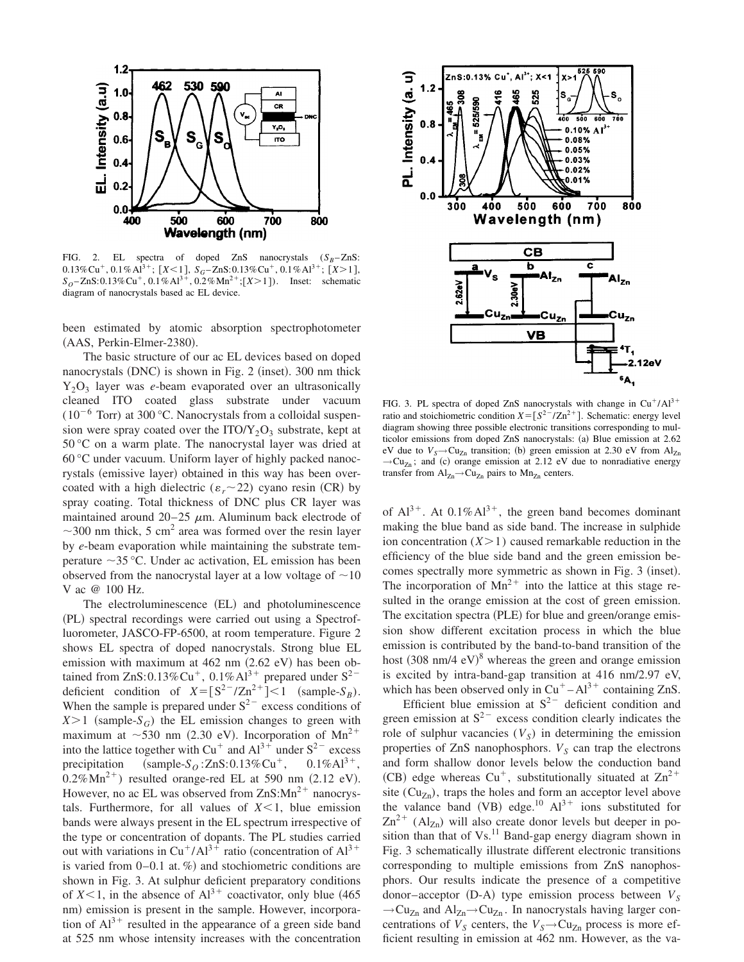

FIG. 2. EL spectra of doped ZnS nanocrystals  $(S_B - ZnS)$ :  $0.13\%$ Cu<sup>+</sup>,  $0.1\%$ Al<sup>3+</sup>;  $[X<1]$ ,  $S_G$ -ZnS: $0.13\%$ Cu<sup>+</sup>,  $0.1\%$ Al<sup>3+</sup>;  $[X>1]$ ,  $S_O - ZnS: 0.13\%$  Cu<sup>+</sup>, 0.1%Al<sup>3+</sup>, 0.2%Mn<sup>2+</sup>;[X>1]). Inset: schematic diagram of nanocrystals based ac EL device.

been estimated by atomic absorption spectrophotometer (AAS, Perkin-Elmer-2380).

The basic structure of our ac EL devices based on doped nanocrystals  $(DNC)$  is shown in Fig. 2 (inset). 300 nm thick Y2O<sup>3</sup> layer was *e*-beam evaporated over an ultrasonically cleaned ITO coated glass substrate under vacuum  $(10^{-6}$  Torr) at 300 °C. Nanocrystals from a colloidal suspension were spray coated over the  $ITO/Y_2O_3$  substrate, kept at 50 °C on a warm plate. The nanocrystal layer was dried at 60 °C under vacuum. Uniform layer of highly packed nanocrystals (emissive layer) obtained in this way has been overcoated with a high dielectric ( $\varepsilon_r$  ~ 22) cyano resin (CR) by spray coating. Total thickness of DNC plus CR layer was maintained around  $20-25 \mu m$ . Aluminum back electrode of  $\sim$ 300 nm thick, 5 cm<sup>2</sup> area was formed over the resin layer by *e*-beam evaporation while maintaining the substrate temperature  $\sim$ 35 °C. Under ac activation, EL emission has been observed from the nanocrystal layer at a low voltage of  $\sim$ 10 V ac @ 100 Hz.

The electroluminescence (EL) and photoluminescence (PL) spectral recordings were carried out using a Spectrofluorometer, JASCO-FP-6500, at room temperature. Figure 2 shows EL spectra of doped nanocrystals. Strong blue EL emission with maximum at  $462$  nm  $(2.62 \text{ eV})$  has been obtained from ZnS:0.13%Cu<sup>+</sup>, 0.1%Al<sup>3+</sup> prepared under S<sup>2-</sup> deficient condition of  $X = [S^2^{-}/Zn^{2+}] < 1$  (sample-*S<sub>B</sub>*). When the sample is prepared under  $S^{2-}$  excess conditions of  $X>1$  (sample- $S_G$ ) the EL emission changes to green with maximum at  $\sim$ 530 nm (2.30 eV). Incorporation of Mn<sup>2+</sup> into the lattice together with  $Cu^+$  and  $Al^{3+}$  under  $S^{2-}$  excess precipitation  $\text{(sample-S}_O:ZnS:0.13\% \text{Cu}^+, \quad 0.1\% \text{Al}^{3+},$  $0.2\%$  Mn<sup>2+</sup>) resulted orange-red EL at 590 nm  $(2.12 \text{ eV})$ . However, no ac EL was observed from  $ZnS:Mn^{2+}$  nanocrystals. Furthermore, for all values of  $X \leq 1$ , blue emission bands were always present in the EL spectrum irrespective of the type or concentration of dopants. The PL studies carried out with variations in  $Cu^+/Al^{3+}$  ratio (concentration of  $Al^{3+}$ is varied from  $0-0.1$  at. %) and stochiometric conditions are shown in Fig. 3. At sulphur deficient preparatory conditions of  $X<1$ , in the absence of  $Al^{3+}$  coactivator, only blue (465) nm) emission is present in the sample. However, incorporation of  $Al^{3+}$  resulted in the appearance of a green side band at 525 nm whose intensity increases with the concentration



FIG. 3. PL spectra of doped ZnS nanocrystals with change in  $Cu^+/Al^{3+}$ ratio and stoichiometric condition  $X = [S^{2-}/Zn^{2+}]$ . Schematic: energy level diagram showing three possible electronic transitions corresponding to multicolor emissions from doped ZnS nanocrystals: (a) Blue emission at 2.62 eV due to  $V_s \rightarrow Cu_{Zn}$  transition; (b) green emission at 2.30 eV from  $Al_{Zn}$  $\rightarrow$ Cu<sub>Zn</sub>; and (c) orange emission at 2.12 eV due to nonradiative energy transfer from  $Al_{Zn} \rightarrow Cu_{Zn}$  pairs to  $Mn_{Zn}$  centers.

of  $Al^{3+}$ . At 0.1% $Al^{3+}$ , the green band becomes dominant making the blue band as side band. The increase in sulphide ion concentration  $(X>1)$  caused remarkable reduction in the efficiency of the blue side band and the green emission becomes spectrally more symmetric as shown in Fig. 3 (inset). The incorporation of  $Mn^{2+}$  into the lattice at this stage resulted in the orange emission at the cost of green emission. The excitation spectra (PLE) for blue and green/orange emission show different excitation process in which the blue emission is contributed by the band-to-band transition of the host  $(308 \text{ nm}/4 \text{ eV})^8$  whereas the green and orange emission is excited by intra-band-gap transition at 416 nm/2.97 eV, which has been observed only in  $Cu<sup>+</sup> – Al<sup>3+</sup>$  containing ZnS.

Efficient blue emission at  $S^{2-}$  deficient condition and green emission at  $S^{2-}$  excess condition clearly indicates the role of sulphur vacancies  $(V<sub>S</sub>)$  in determining the emission properties of ZnS nanophosphors.  $V<sub>S</sub>$  can trap the electrons and form shallow donor levels below the conduction band (CB) edge whereas  $Cu^+$ , substitutionally situated at  $Zn^{2+}$ site  $(Cu_{Zn})$ , traps the holes and form an acceptor level above the valance band (VB) edge.<sup>10</sup>  $Al^{3+}$  ions substituted for  $Zn^{2+}$  (Al<sub>Zn</sub>) will also create donor levels but deeper in position than that of  $Vs<sup>11</sup>$  Band-gap energy diagram shown in Fig. 3 schematically illustrate different electronic transitions corresponding to multiple emissions from ZnS nanophosphors. Our results indicate the presence of a competitive donor–acceptor  $(D-A)$  type emission process between  $V<sub>S</sub>$  $\rightarrow$  Cu<sub>Zn</sub> and Al<sub>Zn</sub> $\rightarrow$  Cu<sub>Zn</sub>. In nanocrystals having larger concentrations of  $V_s$  centers, the  $V_s \rightarrow Cu_{Zn}$  process is more efficient resulting in emission at 462 nm. However, as the va-